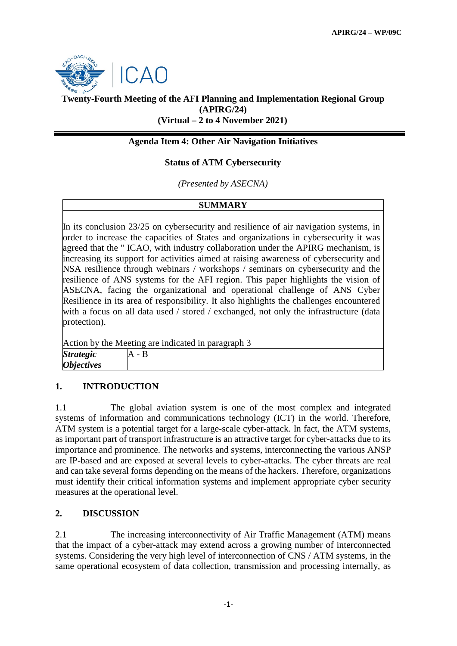

# **Twenty-Fourth Meeting of the AFI Planning and Implementation Regional Group (APIRG/24) (Virtual – 2 to 4 November 2021)**

## **Agenda Item 4: Other Air Navigation Initiatives**

### **Status of ATM Cybersecurity**

*(Presented by ASECNA)*

#### **SUMMARY**

In its conclusion 23/25 on cybersecurity and resilience of air navigation systems, in order to increase the capacities of States and organizations in cybersecurity it was agreed that the '' ICAO, with industry collaboration under the APIRG mechanism, is increasing its support for activities aimed at raising awareness of cybersecurity and NSA resilience through webinars / workshops / seminars on cybersecurity and the resilience of ANS systems for the AFI region. This paper highlights the vision of ASECNA, facing the organizational and operational challenge of ANS Cyber Resilience in its area of responsibility. It also highlights the challenges encountered with a focus on all data used / stored / exchanged, not only the infrastructure (data protection).

| Action by the Meeting are indicated in paragraph 3 |       |
|----------------------------------------------------|-------|
| <b>Strategic</b>                                   | А - В |
| <i><b>Objectives</b></i>                           |       |

### **1. INTRODUCTION**

1.1 The global aviation system is one of the most complex and integrated systems of information and communications technology (ICT) in the world. Therefore, ATM system is a potential target for a large-scale cyber-attack. In fact, the ATM systems, as important part of transport infrastructure is an attractive target for cyber-attacks due to its importance and prominence. The networks and systems, interconnecting the various ANSP are IP-based and are exposed at several levels to cyber-attacks. The cyber threats are real and can take several forms depending on the means of the hackers. Therefore, organizations must identify their critical information systems and implement appropriate cyber security measures at the operational level.

### **2. DISCUSSION**

2.1 The increasing interconnectivity of Air Traffic Management (ATM) means that the impact of a cyber-attack may extend across a growing number of interconnected systems. Considering the very high level of interconnection of CNS / ATM systems, in the same operational ecosystem of data collection, transmission and processing internally, as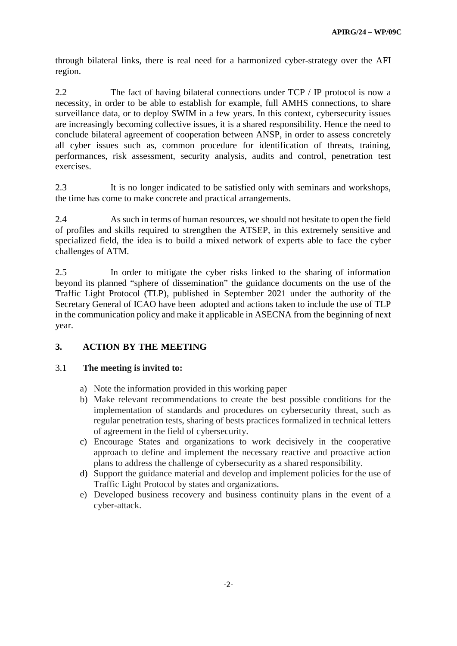through bilateral links, there is real need for a harmonized cyber-strategy over the AFI region.

2.2 The fact of having bilateral connections under TCP / IP protocol is now a necessity, in order to be able to establish for example, full AMHS connections, to share surveillance data, or to deploy SWIM in a few years. In this context, cybersecurity issues are increasingly becoming collective issues, it is a shared responsibility. Hence the need to conclude bilateral agreement of cooperation between ANSP, in order to assess concretely all cyber issues such as, common procedure for identification of threats, training, performances, risk assessment, security analysis, audits and control, penetration test exercises.

2.3 It is no longer indicated to be satisfied only with seminars and workshops, the time has come to make concrete and practical arrangements.

2.4 As such in terms of human resources, we should not hesitate to open the field of profiles and skills required to strengthen the ATSEP, in this extremely sensitive and specialized field, the idea is to build a mixed network of experts able to face the cyber challenges of ATM.

2.5 In order to mitigate the cyber risks linked to the sharing of information beyond its planned "sphere of dissemination" the guidance documents on the use of the Traffic Light Protocol (TLP), published in September 2021 under the authority of the Secretary General of ICAO have been adopted and actions taken to include the use of TLP in the communication policy and make it applicable in ASECNA from the beginning of next year.

# **3. ACTION BY THE MEETING**

### 3.1 **The meeting is invited to:**

- a) Note the information provided in this working paper
- b) Make relevant recommendations to create the best possible conditions for the implementation of standards and procedures on cybersecurity threat, such as regular penetration tests, sharing of bests practices formalized in technical letters of agreement in the field of cybersecurity.
- c) Encourage States and organizations to work decisively in the cooperative approach to define and implement the necessary reactive and proactive action plans to address the challenge of cybersecurity as a shared responsibility.
- d) Support the guidance material and develop and implement policies for the use of Traffic Light Protocol by states and organizations.
- e) Developed business recovery and business continuity plans in the event of a cyber-attack.